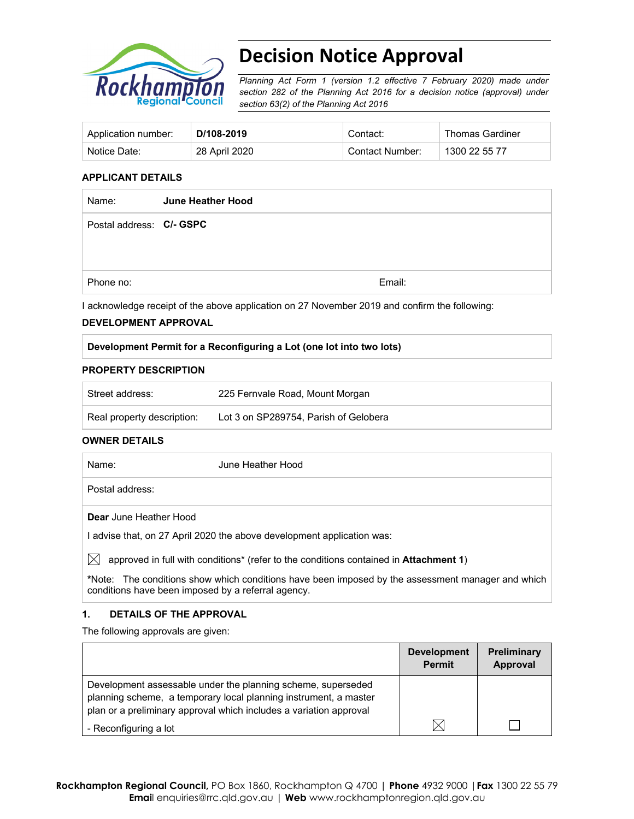

# **Decision Notice Approval**

*Planning Act Form 1 (version 1.2 effective 7 February 2020) made under section 282 of the Planning Act 2016 for a decision notice (approval) under section 63(2) of the Planning Act 2016*

| Application number: | D/108-2019    | Contact∵        | Thomas Gardiner |
|---------------------|---------------|-----------------|-----------------|
| Notice Date:        | 28 April 2020 | Contact Number: | 1300 22 55 77   |

#### **APPLICANT DETAILS**

| Name:                    | June Heather Hood |        |
|--------------------------|-------------------|--------|
| Postal address: C/- GSPC |                   |        |
|                          |                   |        |
|                          |                   |        |
| Phone no:                |                   | Email: |

I acknowledge receipt of the above application on 27 November 2019 and confirm the following:

#### **DEVELOPMENT APPROVAL**

### **Development Permit for a Reconfiguring a Lot (one lot into two lots)**

#### **PROPERTY DESCRIPTION**

| Street address:            | 225 Fernvale Road, Mount Morgan       |
|----------------------------|---------------------------------------|
| Real property description: | Lot 3 on SP289754. Parish of Gelobera |

#### **OWNER DETAILS**

| Name:                         | June Heather Hood |
|-------------------------------|-------------------|
| Postal address:               |                   |
| <b>Dear</b> June Heather Hood |                   |

I advise that, on 27 April 2020 the above development application was:

 $\boxtimes$  approved in full with conditions<sup>\*</sup> (refer to the conditions contained in **Attachment 1**)

**\***Note:The conditions show which conditions have been imposed by the assessment manager and which conditions have been imposed by a referral agency.

### **1. DETAILS OF THE APPROVAL**

The following approvals are given:

|                                                                                                                                                                                                        | <b>Development</b><br><b>Permit</b> | <b>Preliminary</b><br>Approval |
|--------------------------------------------------------------------------------------------------------------------------------------------------------------------------------------------------------|-------------------------------------|--------------------------------|
| Development assessable under the planning scheme, superseded<br>planning scheme, a temporary local planning instrument, a master<br>plan or a preliminary approval which includes a variation approval |                                     |                                |
| - Reconfiguring a lot                                                                                                                                                                                  |                                     |                                |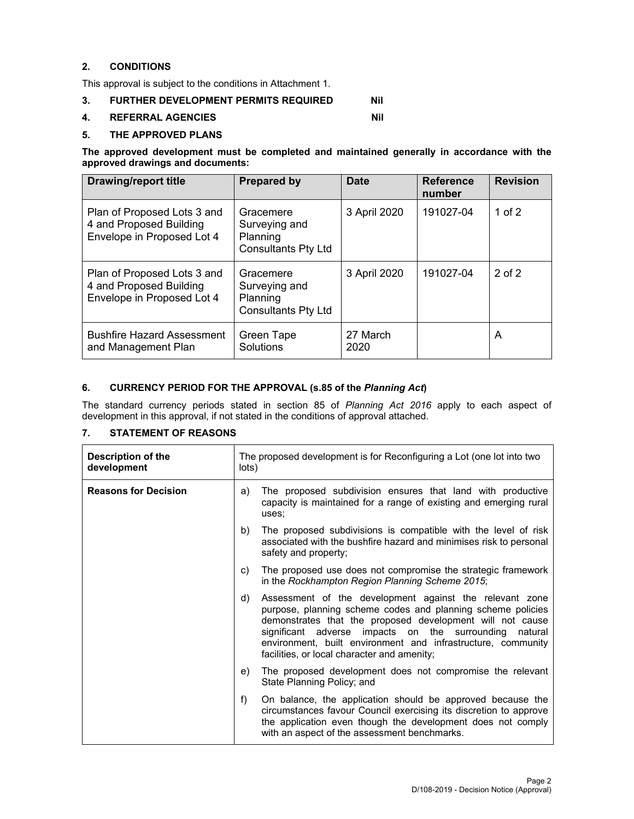## **2. CONDITIONS**

This approval is subject to the conditions in Attachment 1.

## **3. FURTHER DEVELOPMENT PERMITS REQUIRED Nil**

#### **4. REFERRAL AGENCIES NIL 2018**

#### **5. THE APPROVED PLANS**

**The approved development must be completed and maintained generally in accordance with the approved drawings and documents:** 

| <b>Drawing/report title</b>                                                          | <b>Prepared by</b>                                                   | <b>Date</b>      | <b>Reference</b><br>number | <b>Revision</b> |
|--------------------------------------------------------------------------------------|----------------------------------------------------------------------|------------------|----------------------------|-----------------|
| Plan of Proposed Lots 3 and<br>4 and Proposed Building<br>Envelope in Proposed Lot 4 | Gracemere<br>Surveying and<br>Planning<br><b>Consultants Pty Ltd</b> | 3 April 2020     | 191027-04                  | 1 of $2$        |
| Plan of Proposed Lots 3 and<br>4 and Proposed Building<br>Envelope in Proposed Lot 4 | Gracemere<br>Surveying and<br>Planning<br><b>Consultants Pty Ltd</b> | 3 April 2020     | 191027-04                  | $2$ of $2$      |
| <b>Bushfire Hazard Assessment</b><br>and Management Plan                             | Green Tape<br>Solutions                                              | 27 March<br>2020 |                            | A               |

## **6. CURRENCY PERIOD FOR THE APPROVAL (s.85 of the** *Planning Act***)**

The standard currency periods stated in section 85 of *Planning Act 2016* apply to each aspect of development in this approval, if not stated in the conditions of approval attached.

## **7. STATEMENT OF REASONS**

| Description of the<br>development | The proposed development is for Reconfiguring a Lot (one lot into two<br>lots)                                                                                                                                                                                                                                                                                     |  |
|-----------------------------------|--------------------------------------------------------------------------------------------------------------------------------------------------------------------------------------------------------------------------------------------------------------------------------------------------------------------------------------------------------------------|--|
| <b>Reasons for Decision</b>       | The proposed subdivision ensures that land with productive<br>a)<br>capacity is maintained for a range of existing and emerging rural<br>uses;                                                                                                                                                                                                                     |  |
|                                   | b)<br>The proposed subdivisions is compatible with the level of risk<br>associated with the bushfire hazard and minimises risk to personal<br>safety and property;                                                                                                                                                                                                 |  |
|                                   | The proposed use does not compromise the strategic framework<br>C)<br>in the Rockhampton Region Planning Scheme 2015;                                                                                                                                                                                                                                              |  |
|                                   | Assessment of the development against the relevant zone<br>d)<br>purpose, planning scheme codes and planning scheme policies<br>demonstrates that the proposed development will not cause<br>significant adverse impacts on the surrounding natural<br>environment, built environment and infrastructure, community<br>facilities, or local character and amenity; |  |
|                                   | The proposed development does not compromise the relevant<br>e)<br>State Planning Policy; and                                                                                                                                                                                                                                                                      |  |
|                                   | f)<br>On balance, the application should be approved because the<br>circumstances favour Council exercising its discretion to approve<br>the application even though the development does not comply<br>with an aspect of the assessment benchmarks.                                                                                                               |  |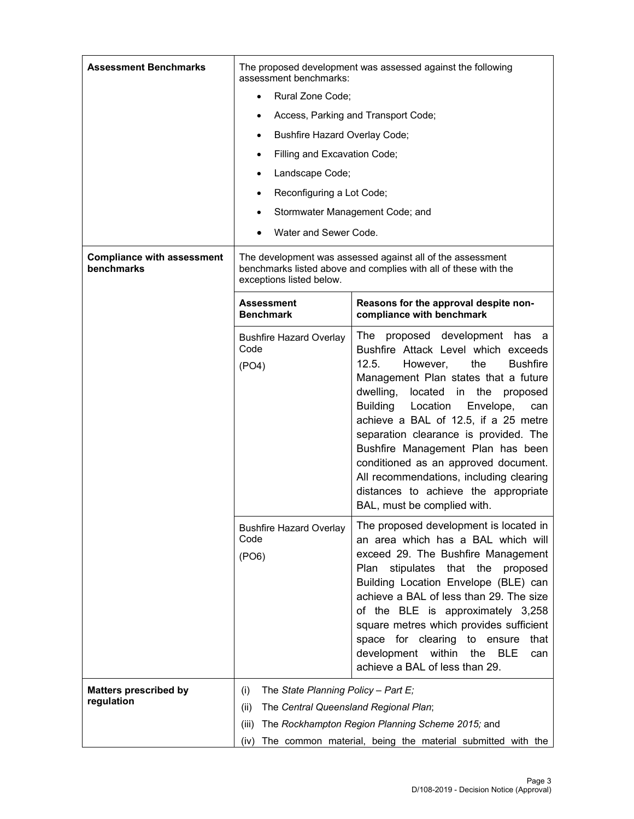| <b>Assessment Benchmarks</b>                    | The proposed development was assessed against the following<br>assessment benchmarks:                                                                     |                                                                                                                                                                                                                                                                                                                                                                                                                                                                                                                                                  |  |  |
|-------------------------------------------------|-----------------------------------------------------------------------------------------------------------------------------------------------------------|--------------------------------------------------------------------------------------------------------------------------------------------------------------------------------------------------------------------------------------------------------------------------------------------------------------------------------------------------------------------------------------------------------------------------------------------------------------------------------------------------------------------------------------------------|--|--|
|                                                 | Rural Zone Code;<br>$\bullet$                                                                                                                             |                                                                                                                                                                                                                                                                                                                                                                                                                                                                                                                                                  |  |  |
|                                                 | Access, Parking and Transport Code;<br>٠                                                                                                                  |                                                                                                                                                                                                                                                                                                                                                                                                                                                                                                                                                  |  |  |
|                                                 | Bushfire Hazard Overlay Code;<br>$\bullet$                                                                                                                |                                                                                                                                                                                                                                                                                                                                                                                                                                                                                                                                                  |  |  |
|                                                 | Filling and Excavation Code;<br>٠                                                                                                                         |                                                                                                                                                                                                                                                                                                                                                                                                                                                                                                                                                  |  |  |
|                                                 | Landscape Code;<br>$\bullet$                                                                                                                              |                                                                                                                                                                                                                                                                                                                                                                                                                                                                                                                                                  |  |  |
|                                                 | Reconfiguring a Lot Code;<br>$\bullet$                                                                                                                    |                                                                                                                                                                                                                                                                                                                                                                                                                                                                                                                                                  |  |  |
|                                                 | ٠                                                                                                                                                         | Stormwater Management Code; and                                                                                                                                                                                                                                                                                                                                                                                                                                                                                                                  |  |  |
|                                                 | Water and Sewer Code.                                                                                                                                     |                                                                                                                                                                                                                                                                                                                                                                                                                                                                                                                                                  |  |  |
| <b>Compliance with assessment</b><br>benchmarks | The development was assessed against all of the assessment<br>benchmarks listed above and complies with all of these with the<br>exceptions listed below. |                                                                                                                                                                                                                                                                                                                                                                                                                                                                                                                                                  |  |  |
|                                                 | Assessment<br><b>Benchmark</b>                                                                                                                            | Reasons for the approval despite non-<br>compliance with benchmark                                                                                                                                                                                                                                                                                                                                                                                                                                                                               |  |  |
|                                                 | <b>Bushfire Hazard Overlay</b><br>Code<br>(PO4)                                                                                                           | The proposed development has a<br>Bushfire Attack Level which exceeds<br>12.5.<br><b>Bushfire</b><br>However,<br>the<br>Management Plan states that a future<br>dwelling,<br>the<br>located<br>in<br>proposed<br><b>Building</b><br>Location<br>Envelope,<br>can<br>achieve a BAL of 12.5, if a 25 metre<br>separation clearance is provided. The<br>Bushfire Management Plan has been<br>conditioned as an approved document.<br>All recommendations, including clearing<br>distances to achieve the appropriate<br>BAL, must be complied with. |  |  |
|                                                 | <b>Bushfire Hazard Overlay</b><br>Code<br>(PO6)                                                                                                           | The proposed development is located in<br>an area which has a BAL which will<br>exceed 29. The Bushfire Management<br>stipulates that the<br>Plan<br>proposed<br>Building Location Envelope (BLE) can<br>achieve a BAL of less than 29. The size<br>of the BLE is approximately 3,258<br>square metres which provides sufficient<br>space for clearing<br>to ensure<br>that<br>development within<br><b>BLE</b><br>the<br>can<br>achieve a BAL of less than 29.                                                                                  |  |  |
| <b>Matters prescribed by</b>                    | The State Planning Policy - Part E;<br>(i)                                                                                                                |                                                                                                                                                                                                                                                                                                                                                                                                                                                                                                                                                  |  |  |
| regulation                                      | The Central Queensland Regional Plan;<br>(ii)                                                                                                             |                                                                                                                                                                                                                                                                                                                                                                                                                                                                                                                                                  |  |  |
|                                                 | The Rockhampton Region Planning Scheme 2015; and<br>(iii)                                                                                                 |                                                                                                                                                                                                                                                                                                                                                                                                                                                                                                                                                  |  |  |
|                                                 | The common material, being the material submitted with the<br>(iv)                                                                                        |                                                                                                                                                                                                                                                                                                                                                                                                                                                                                                                                                  |  |  |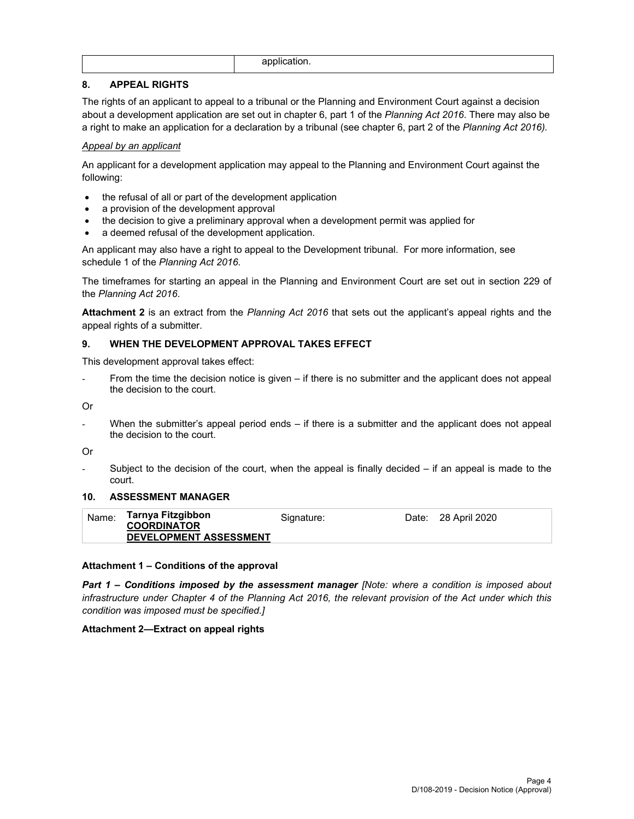|  | . .<br> |
|--|---------|
|--|---------|

## **8. APPEAL RIGHTS**

The rights of an applicant to appeal to a tribunal or the Planning and Environment Court against a decision about a development application are set out in chapter 6, part 1 of the *Planning Act 2016*. There may also be a right to make an application for a declaration by a tribunal (see chapter 6, part 2 of the *Planning Act 2016).*

## *Appeal by an applicant*

An applicant for a development application may appeal to the Planning and Environment Court against the following:

- the refusal of all or part of the development application
- a provision of the development approval
- the decision to give a preliminary approval when a development permit was applied for
- a deemed refusal of the development application.

An applicant may also have a right to appeal to the Development tribunal. For more information, see schedule 1 of the *Planning Act 2016*.

The timeframes for starting an appeal in the Planning and Environment Court are set out in section 229 of the *Planning Act 2016*.

**Attachment 2** is an extract from the *Planning Act 2016* that sets out the applicant's appeal rights and the appeal rights of a submitter.

## **9. WHEN THE DEVELOPMENT APPROVAL TAKES EFFECT**

This development approval takes effect:

From the time the decision notice is given – if there is no submitter and the applicant does not appeal the decision to the court.

Or

When the submitter's appeal period ends  $-$  if there is a submitter and the applicant does not appeal the decision to the court.

Or

Subject to the decision of the court, when the appeal is finally decided  $-$  if an appeal is made to the court.

### **10. ASSESSMENT MANAGER**

| Tarnya Fitzgibbon<br>Name:<br>Date: 28 April 2020<br>Signature:<br><b>COORDINATOR</b><br><b>DEVELOPMENT ASSESSMENT</b> |
|------------------------------------------------------------------------------------------------------------------------|
|------------------------------------------------------------------------------------------------------------------------|

### **Attachment 1 – Conditions of the approval**

*Part 1* **–** *Conditions imposed by the assessment manager [Note: where a condition is imposed about infrastructure under Chapter 4 of the Planning Act 2016, the relevant provision of the Act under which this condition was imposed must be specified.]*

### **Attachment 2—Extract on appeal rights**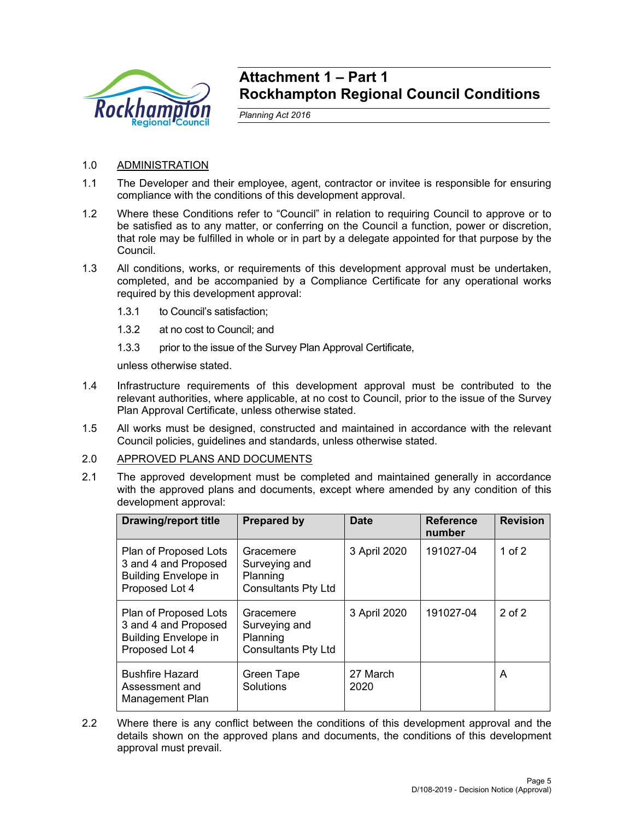

## **Attachment 1 – Part 1 Rockhampton Regional Council Conditions**

*Planning Act 2016* 

## 1.0 ADMINISTRATION

- 1.1 The Developer and their employee, agent, contractor or invitee is responsible for ensuring compliance with the conditions of this development approval.
- 1.2 Where these Conditions refer to "Council" in relation to requiring Council to approve or to be satisfied as to any matter, or conferring on the Council a function, power or discretion, that role may be fulfilled in whole or in part by a delegate appointed for that purpose by the Council.
- 1.3 All conditions, works, or requirements of this development approval must be undertaken, completed, and be accompanied by a Compliance Certificate for any operational works required by this development approval:
	- 1.3.1 to Council's satisfaction;
	- 1.3.2 at no cost to Council; and
	- 1.3.3 prior to the issue of the Survey Plan Approval Certificate,

unless otherwise stated.

- 1.4 Infrastructure requirements of this development approval must be contributed to the relevant authorities, where applicable, at no cost to Council, prior to the issue of the Survey Plan Approval Certificate, unless otherwise stated.
- 1.5 All works must be designed, constructed and maintained in accordance with the relevant Council policies, guidelines and standards, unless otherwise stated.

### 2.0 APPROVED PLANS AND DOCUMENTS

2.1 The approved development must be completed and maintained generally in accordance with the approved plans and documents, except where amended by any condition of this development approval:

| <b>Drawing/report title</b>                                                                    | <b>Prepared by</b>                                                   | <b>Date</b>      | <b>Reference</b><br>number | <b>Revision</b> |
|------------------------------------------------------------------------------------------------|----------------------------------------------------------------------|------------------|----------------------------|-----------------|
| Plan of Proposed Lots<br>3 and 4 and Proposed<br><b>Building Envelope in</b><br>Proposed Lot 4 | Gracemere<br>Surveying and<br>Planning<br><b>Consultants Pty Ltd</b> | 3 April 2020     | 191027-04                  | 1 of $2$        |
| Plan of Proposed Lots<br>3 and 4 and Proposed<br><b>Building Envelope in</b><br>Proposed Lot 4 | Gracemere<br>Surveying and<br>Planning<br><b>Consultants Pty Ltd</b> | 3 April 2020     | 191027-04                  | $2$ of $2$      |
| <b>Bushfire Hazard</b><br>Assessment and<br>Management Plan                                    | Green Tape<br>Solutions                                              | 27 March<br>2020 |                            | A               |

2.2 Where there is any conflict between the conditions of this development approval and the details shown on the approved plans and documents, the conditions of this development approval must prevail.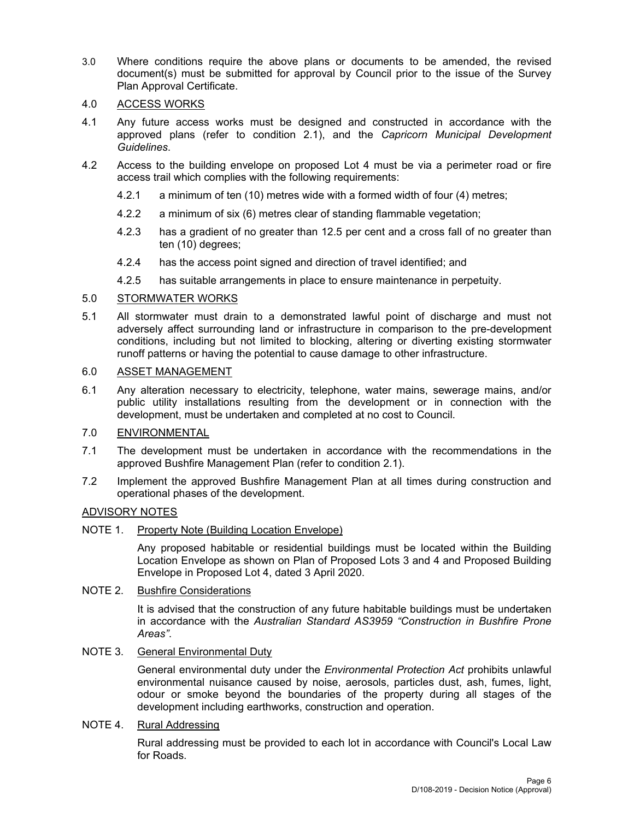3.0 Where conditions require the above plans or documents to be amended, the revised document(s) must be submitted for approval by Council prior to the issue of the Survey Plan Approval Certificate.

## 4.0 ACCESS WORKS

- 4.1 Any future access works must be designed and constructed in accordance with the approved plans (refer to condition 2.1), and the *Capricorn Municipal Development Guidelines*.
- 4.2 Access to the building envelope on proposed Lot 4 must be via a perimeter road or fire access trail which complies with the following requirements:
	- 4.2.1 a minimum of ten (10) metres wide with a formed width of four (4) metres;
	- 4.2.2 a minimum of six (6) metres clear of standing flammable vegetation;
	- 4.2.3 has a gradient of no greater than 12.5 per cent and a cross fall of no greater than ten (10) degrees;
	- 4.2.4 has the access point signed and direction of travel identified; and
	- 4.2.5 has suitable arrangements in place to ensure maintenance in perpetuity.

## 5.0 STORMWATER WORKS

5.1 All stormwater must drain to a demonstrated lawful point of discharge and must not adversely affect surrounding land or infrastructure in comparison to the pre-development conditions, including but not limited to blocking, altering or diverting existing stormwater runoff patterns or having the potential to cause damage to other infrastructure.

## 6.0 ASSET MANAGEMENT

6.1 Any alteration necessary to electricity, telephone, water mains, sewerage mains, and/or public utility installations resulting from the development or in connection with the development, must be undertaken and completed at no cost to Council.

## 7.0 ENVIRONMENTAL

- 7.1 The development must be undertaken in accordance with the recommendations in the approved Bushfire Management Plan (refer to condition 2.1).
- 7.2 Implement the approved Bushfire Management Plan at all times during construction and operational phases of the development.

## ADVISORY NOTES

NOTE 1. Property Note (Building Location Envelope)

Any proposed habitable or residential buildings must be located within the Building Location Envelope as shown on Plan of Proposed Lots 3 and 4 and Proposed Building Envelope in Proposed Lot 4, dated 3 April 2020.

## NOTE 2. Bushfire Considerations

It is advised that the construction of any future habitable buildings must be undertaken in accordance with the *Australian Standard AS3959 "Construction in Bushfire Prone Areas"*.

## NOTE 3. General Environmental Duty

General environmental duty under the *Environmental Protection Act* prohibits unlawful environmental nuisance caused by noise, aerosols, particles dust, ash, fumes, light, odour or smoke beyond the boundaries of the property during all stages of the development including earthworks, construction and operation.

## NOTE 4. Rural Addressing

Rural addressing must be provided to each lot in accordance with Council's Local Law for Roads.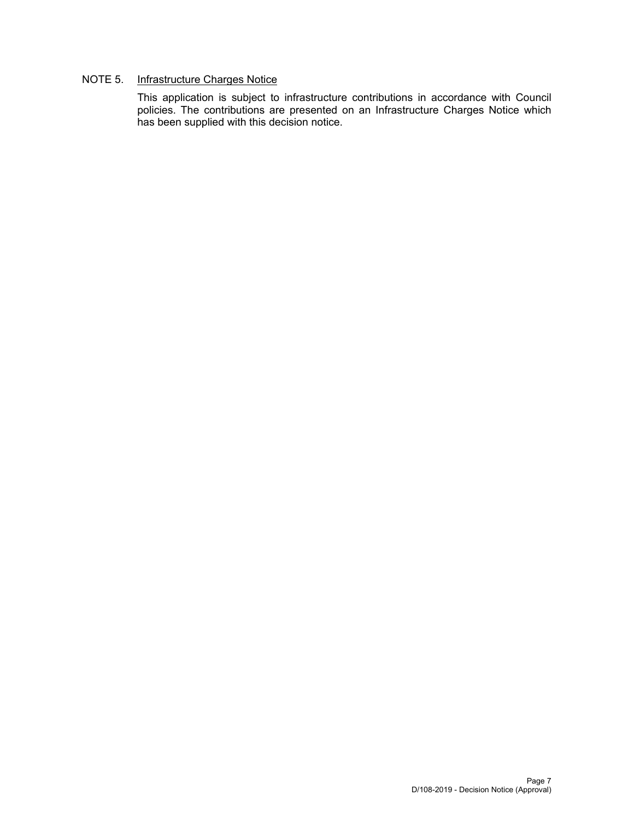## NOTE 5. Infrastructure Charges Notice

This application is subject to infrastructure contributions in accordance with Council policies. The contributions are presented on an Infrastructure Charges Notice which has been supplied with this decision notice.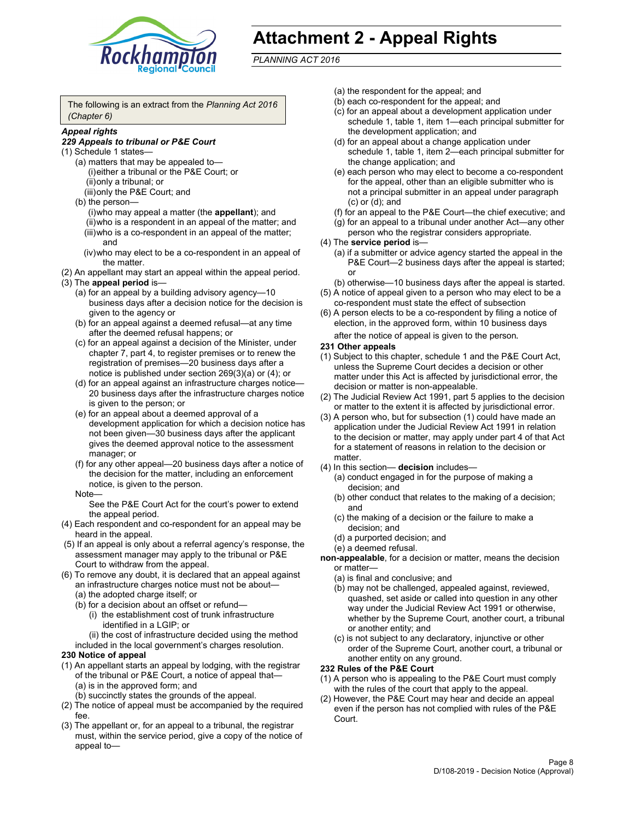

## **Attachment 2 - Appeal Rights**

*PLANNING ACT 2016*

The following is an extract from the *Planning Act 2016 (Chapter 6)*

## *Appeal rights*

#### *229 Appeals to tribunal or P&E Court*

- (1) Schedule 1 states—
	- (a) matters that may be appealed to— (i) either a tribunal or the P&E Court; or (ii) only a tribunal; or (iii) only the P&E Court; and
	- (b) the person—
		- (i) who may appeal a matter (the **appellant**); and
		- (ii) who is a respondent in an appeal of the matter; and (iii) who is a co-respondent in an appeal of the matter; and
		- (iv) who may elect to be a co-respondent in an appeal of the matter.
- (2) An appellant may start an appeal within the appeal period.
- (3) The **appeal period** is—
	- (a) for an appeal by a building advisory agency—10 business days after a decision notice for the decision is given to the agency or
	- (b) for an appeal against a deemed refusal—at any time after the deemed refusal happens; or
	- (c) for an appeal against a decision of the Minister, under chapter 7, part 4, to register premises or to renew the registration of premises—20 business days after a notice is published under section 269(3)(a) or (4); or
	- (d) for an appeal against an infrastructure charges notice— 20 business days after the infrastructure charges notice is given to the person; or
	- (e) for an appeal about a deemed approval of a development application for which a decision notice has not been given—30 business days after the applicant gives the deemed approval notice to the assessment manager; or
	- (f) for any other appeal—20 business days after a notice of the decision for the matter, including an enforcement notice, is given to the person.

#### Note—

See the P&E Court Act for the court's power to extend the appeal period.

- (4) Each respondent and co-respondent for an appeal may be heard in the appeal.
- (5) If an appeal is only about a referral agency's response, the assessment manager may apply to the tribunal or P&E Court to withdraw from the appeal.
- (6) To remove any doubt, it is declared that an appeal against an infrastructure charges notice must not be about— (a) the adopted charge itself; or
	- (b) for a decision about an offset or refund—
		- (i) the establishment cost of trunk infrastructure identified in a LGIP; or
		- (ii) the cost of infrastructure decided using the method
	- included in the local government's charges resolution.

#### **230 Notice of appeal**

- (1) An appellant starts an appeal by lodging, with the registrar of the tribunal or P&E Court, a notice of appeal that— (a) is in the approved form; and
	- (b) succinctly states the grounds of the appeal.
- (2) The notice of appeal must be accompanied by the required fee.
- (3) The appellant or, for an appeal to a tribunal, the registrar must, within the service period, give a copy of the notice of appeal to—
- (a) the respondent for the appeal; and
- (b) each co-respondent for the appeal; and
- (c) for an appeal about a development application under schedule 1, table 1, item 1—each principal submitter for the development application; and
- (d) for an appeal about a change application under schedule 1, table 1, item 2—each principal submitter for the change application; and
- (e) each person who may elect to become a co-respondent for the appeal, other than an eligible submitter who is not a principal submitter in an appeal under paragraph (c) or (d); and
- (f) for an appeal to the P&E Court—the chief executive; and
- (g) for an appeal to a tribunal under another Act—any other person who the registrar considers appropriate.
- (4) The **service period** is—
	- (a) if a submitter or advice agency started the appeal in the P&E Court-2 business days after the appeal is started; or
	- (b) otherwise—10 business days after the appeal is started.
- (5) A notice of appeal given to a person who may elect to be a co-respondent must state the effect of subsection
- (6) A person elects to be a co-respondent by filing a notice of election, in the approved form, within 10 business days
	- after the notice of appeal is given to the person*.*
- **231 Other appeals**
- (1) Subject to this chapter, schedule 1 and the P&E Court Act, unless the Supreme Court decides a decision or other matter under this Act is affected by jurisdictional error, the decision or matter is non-appealable.
- (2) The Judicial Review Act 1991, part 5 applies to the decision or matter to the extent it is affected by jurisdictional error.
- (3) A person who, but for subsection (1) could have made an application under the Judicial Review Act 1991 in relation to the decision or matter, may apply under part 4 of that Act for a statement of reasons in relation to the decision or matter.
- (4) In this section— **decision** includes—
	- (a) conduct engaged in for the purpose of making a decision; and
	- (b) other conduct that relates to the making of a decision; and
	- (c) the making of a decision or the failure to make a decision; and
	- (d) a purported decision; and
	- (e) a deemed refusal.

**non-appealable**, for a decision or matter, means the decision or matter—

- (a) is final and conclusive; and
- (b) may not be challenged, appealed against, reviewed, quashed, set aside or called into question in any other way under the Judicial Review Act 1991 or otherwise, whether by the Supreme Court, another court, a tribunal or another entity; and
- (c) is not subject to any declaratory, injunctive or other order of the Supreme Court, another court, a tribunal or another entity on any ground.

#### **232 Rules of the P&E Court**

- (1) A person who is appealing to the P&E Court must comply with the rules of the court that apply to the appeal.
- (2) However, the P&E Court may hear and decide an appeal even if the person has not complied with rules of the P&E Court.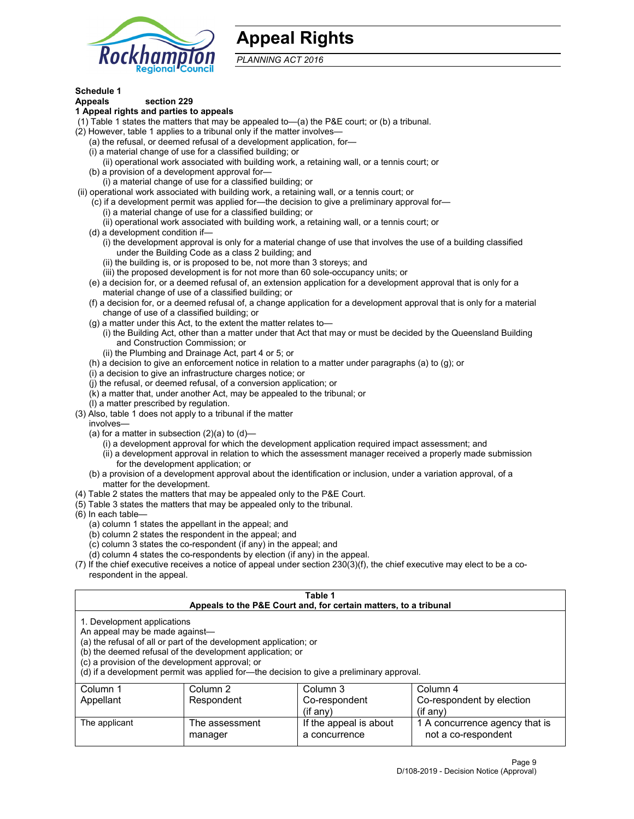

## **Appeal Rights**

*PLANNING ACT 2016*

## **Schedule 1**

## **Appeals section 229**

- **1 Appeal rights and parties to appeals**
- (1) Table 1 states the matters that may be appealed to—(a) the P&E court; or (b) a tribunal.
- (2) However, table 1 applies to a tribunal only if the matter involves—
	- (a) the refusal, or deemed refusal of a development application, for—
	- (i) a material change of use for a classified building; or
	- (ii) operational work associated with building work, a retaining wall, or a tennis court; or
	- (b) a provision of a development approval for—
	- (i) a material change of use for a classified building; or
- (ii) operational work associated with building work, a retaining wall, or a tennis court; or
	- (c) if a development permit was applied for—the decision to give a preliminary approval for—
		- (i) a material change of use for a classified building; or
	- (ii) operational work associated with building work, a retaining wall, or a tennis court; or
	- (d) a development condition if—
		- (i) the development approval is only for a material change of use that involves the use of a building classified under the Building Code as a class 2 building; and
		- (ii) the building is, or is proposed to be, not more than 3 storeys; and
		- (iii) the proposed development is for not more than 60 sole-occupancy units; or
	- (e) a decision for, or a deemed refusal of, an extension application for a development approval that is only for a material change of use of a classified building; or
	- (f) a decision for, or a deemed refusal of, a change application for a development approval that is only for a material change of use of a classified building; or
	- (g) a matter under this Act, to the extent the matter relates to—
		- (i) the Building Act, other than a matter under that Act that may or must be decided by the Queensland Building and Construction Commission; or
		- (ii) the Plumbing and Drainage Act, part 4 or 5; or
	- (h) a decision to give an enforcement notice in relation to a matter under paragraphs (a) to (g); or
	- (i) a decision to give an infrastructure charges notice; or
	- (j) the refusal, or deemed refusal, of a conversion application; or
	- (k) a matter that, under another Act, may be appealed to the tribunal; or
	- (l) a matter prescribed by regulation.
- (3) Also, table 1 does not apply to a tribunal if the matter
	- involves—
		- (a) for a matter in subsection  $(2)(a)$  to  $(d)$ 
			- (i) a development approval for which the development application required impact assessment; and
			- (ii) a development approval in relation to which the assessment manager received a properly made submission for the development application; or
	- (b) a provision of a development approval about the identification or inclusion, under a variation approval, of a matter for the development.
- (4) Table 2 states the matters that may be appealed only to the P&E Court.
- (5) Table 3 states the matters that may be appealed only to the tribunal.
- (6) In each table—
	- (a) column 1 states the appellant in the appeal; and
	- (b) column 2 states the respondent in the appeal; and
	- (c) column 3 states the co-respondent (if any) in the appeal; and
	- (d) column 4 states the co-respondents by election (if any) in the appeal.
- (7) If the chief executive receives a notice of appeal under section 230(3)(f), the chief executive may elect to be a corespondent in the appeal.

| Table 1<br>Appeals to the P&E Court and, for certain matters, to a tribunal                                                                                                                                                                                                                                                                    |                           |                                         |                                                       |  |
|------------------------------------------------------------------------------------------------------------------------------------------------------------------------------------------------------------------------------------------------------------------------------------------------------------------------------------------------|---------------------------|-----------------------------------------|-------------------------------------------------------|--|
| 1. Development applications<br>An appeal may be made against-<br>(a) the refusal of all or part of the development application; or<br>(b) the deemed refusal of the development application; or<br>(c) a provision of the development approval; or<br>(d) if a development permit was applied for—the decision to give a preliminary approval. |                           |                                         |                                                       |  |
| Column 1                                                                                                                                                                                                                                                                                                                                       | Column 2                  | Column 3                                | Column 4                                              |  |
| Appellant                                                                                                                                                                                                                                                                                                                                      | Respondent                | Co-respondent<br>$($ if any $)$         | Co-respondent by election<br>$(if$ anv)               |  |
| The applicant                                                                                                                                                                                                                                                                                                                                  | The assessment<br>manager | If the appeal is about<br>a concurrence | 1 A concurrence agency that is<br>not a co-respondent |  |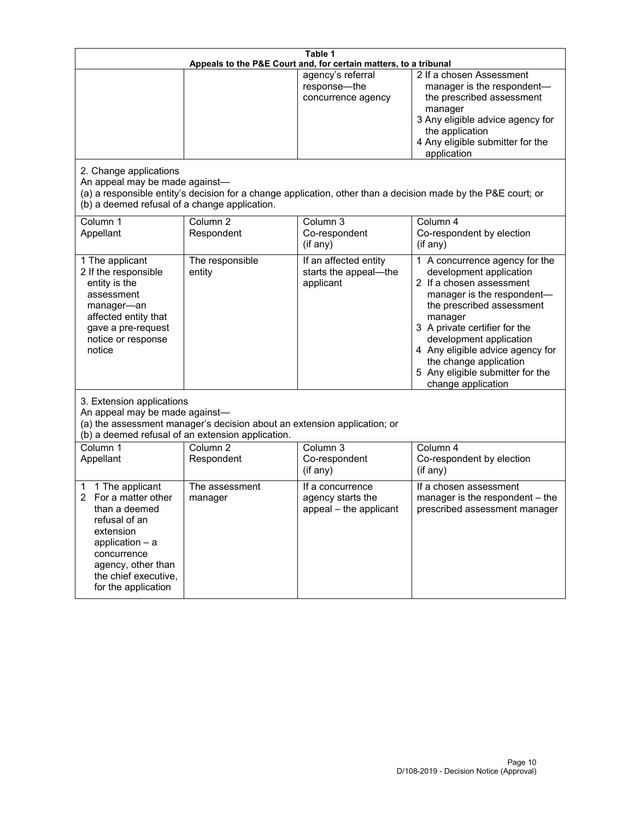| Table 1<br>Appeals to the P&E Court and, for certain matters, to a tribunal                                                                                                                             |                                   |                                                                 |                                                                                                                                                                                                                                                                                                                                                 |  |
|---------------------------------------------------------------------------------------------------------------------------------------------------------------------------------------------------------|-----------------------------------|-----------------------------------------------------------------|-------------------------------------------------------------------------------------------------------------------------------------------------------------------------------------------------------------------------------------------------------------------------------------------------------------------------------------------------|--|
| 2. Change applications<br>An appeal may be made against-                                                                                                                                                |                                   | agency's referral<br>response-the<br>concurrence agency         | 2 If a chosen Assessment<br>manager is the respondent-<br>the prescribed assessment<br>manager<br>3 Any eligible advice agency for<br>the application<br>4 Any eligible submitter for the<br>application<br>(a) a responsible entity's decision for a change application, other than a decision made by the P&E court; or                       |  |
| (b) a deemed refusal of a change application.<br>Column 1<br>Appellant                                                                                                                                  | Column <sub>2</sub><br>Respondent | Column 3<br>Co-respondent<br>(if any)                           | Column 4<br>Co-respondent by election<br>(if any)                                                                                                                                                                                                                                                                                               |  |
| 1 The applicant<br>2 If the responsible<br>entity is the<br>assessment<br>manager-an<br>affected entity that<br>gave a pre-request<br>notice or response<br>notice                                      | The responsible<br>entity         | If an affected entity<br>starts the appeal-the<br>applicant     | 1 A concurrence agency for the<br>development application<br>2 If a chosen assessment<br>manager is the respondent-<br>the prescribed assessment<br>manager<br>3 A private certifier for the<br>development application<br>4 Any eligible advice agency for<br>the change application<br>5 Any eligible submitter for the<br>change application |  |
| 3. Extension applications<br>An appeal may be made against-<br>(a) the assessment manager's decision about an extension application; or<br>(b) a deemed refusal of an extension application.            |                                   |                                                                 |                                                                                                                                                                                                                                                                                                                                                 |  |
| Column 1<br>Appellant                                                                                                                                                                                   | Column <sub>2</sub><br>Respondent | Column 3<br>Co-respondent<br>(if any)                           | Column 4<br>Co-respondent by election<br>(if any)                                                                                                                                                                                                                                                                                               |  |
| 1 The applicant<br>1<br>For a matter other<br>2<br>than a deemed<br>refusal of an<br>extension<br>application $-$ a<br>concurrence<br>agency, other than<br>the chief executive,<br>for the application | The assessment<br>manager         | If a concurrence<br>agency starts the<br>appeal - the applicant | If a chosen assessment<br>manager is the respondent - the<br>prescribed assessment manager                                                                                                                                                                                                                                                      |  |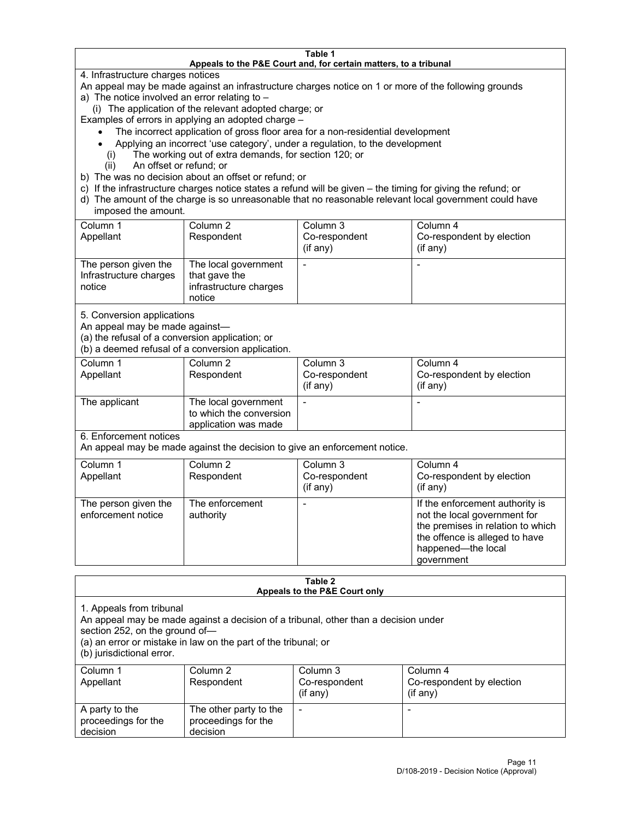#### **Table 1 Appeals to the P&E Court and, for certain matters, to a tribunal**

4. Infrastructure charges notices

An appeal may be made against an infrastructure charges notice on 1 or more of the following grounds

- a) The notice involved an error relating to
	- (i) The application of the relevant adopted charge; or

Examples of errors in applying an adopted charge –

- The incorrect application of gross floor area for a non-residential development
- Applying an incorrect 'use category', under a regulation, to the development
- (i) The working out of extra demands, for section 120; or
- (ii) An offset or refund; or
- b) The was no decision about an offset or refund; or
- c) If the infrastructure charges notice states a refund will be given the timing for giving the refund; or
- d) The amount of the charge is so unreasonable that no reasonable relevant local government could have imposed the amount.

| Column 1<br>Appellant                                    | Column 2<br>Respondent                                                    | Column 3<br>Co-respondent<br>(i f any) | Column 4<br>Co-respondent by election<br>(if any) |
|----------------------------------------------------------|---------------------------------------------------------------------------|----------------------------------------|---------------------------------------------------|
| The person given the<br>Infrastructure charges<br>notice | The local government<br>that gave the<br>infrastructure charges<br>notice |                                        |                                                   |

5. Conversion applications

An appeal may be made against—

(a) the refusal of a conversion application; or

(b) a deemed refusal of a conversion application.

| Column 1      | Column 2                | Column 3       | Column 4                  |
|---------------|-------------------------|----------------|---------------------------|
| Appellant     | Respondent              | Co-respondent  | Co-respondent by election |
|               |                         | $($ if any $)$ | (i f any)                 |
|               |                         |                |                           |
| The applicant | The local government    |                |                           |
|               | to which the conversion |                |                           |
|               | application was made    |                |                           |

6. Enforcement notices

An appeal may be made against the decision to give an enforcement notice.

| Column 1<br>Appellant                      | Column 2<br>Respondent       | Column 3<br>Co-respondent<br>(if any) | Column 4<br>Co-respondent by election<br>(i f any)                                                                                                                         |
|--------------------------------------------|------------------------------|---------------------------------------|----------------------------------------------------------------------------------------------------------------------------------------------------------------------------|
| The person given the<br>enforcement notice | The enforcement<br>authority |                                       | If the enforcement authority is<br>not the local government for<br>the premises in relation to which<br>the offence is alleged to have<br>happened-the local<br>government |

#### **Table 2 Appeals to the P&E Court only**

1. Appeals from tribunal

An appeal may be made against a decision of a tribunal, other than a decision under

section 252, on the ground of—

(a) an error or mistake in law on the part of the tribunal; or

(b) jurisdictional error.

| Column 1<br>Appellant                             | Column 2<br>Respondent                                    | Column 3<br>Co-respondent<br>$(if$ any) | Column 4<br>Co-respondent by election<br>$(if$ any) |
|---------------------------------------------------|-----------------------------------------------------------|-----------------------------------------|-----------------------------------------------------|
| A party to the<br>proceedings for the<br>decision | The other party to the<br>proceedings for the<br>decision | $\overline{\phantom{a}}$                |                                                     |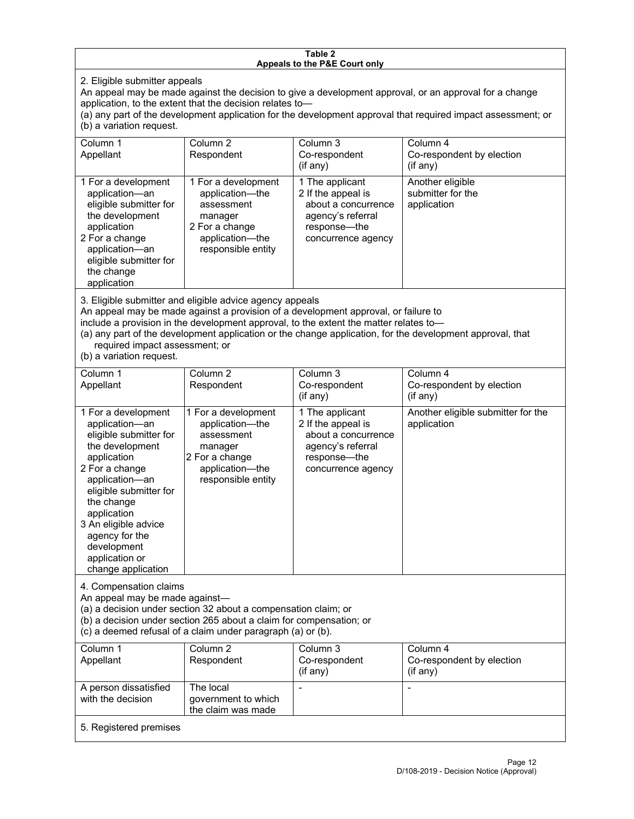#### **Table 2 Appeals to the P&E Court only**

2. Eligible submitter appeals

An appeal may be made against the decision to give a development approval, or an approval for a change application, to the extent that the decision relates to—

(a) any part of the development application for the development approval that required impact assessment; or (b) a variation request.

| Column 1<br>Appellant                                                                                                                                                                        | Column 2<br>Respondent                                                                                                     | Column 3<br>Co-respondent<br>(i f any)                                                                                  | Column 4<br>Co-respondent by election<br>(if any)    |
|----------------------------------------------------------------------------------------------------------------------------------------------------------------------------------------------|----------------------------------------------------------------------------------------------------------------------------|-------------------------------------------------------------------------------------------------------------------------|------------------------------------------------------|
| 1 For a development<br>application-an<br>eligible submitter for<br>the development<br>application<br>2 For a change<br>application-an<br>eligible submitter for<br>the change<br>application | 1 For a development<br>application-the<br>assessment<br>manager<br>2 For a change<br>application-the<br>responsible entity | 1 The applicant<br>2 If the appeal is<br>about a concurrence<br>agency's referral<br>response—the<br>concurrence agency | Another eligible<br>submitter for the<br>application |

3. Eligible submitter and eligible advice agency appeals

An appeal may be made against a provision of a development approval, or failure to

include a provision in the development approval, to the extent the matter relates to—

(a) any part of the development application or the change application, for the development approval, that required impact assessment; or

(b) a variation request.

| Column 1<br>Appellant                                                                                                                                                                                                                                                                         | Column <sub>2</sub><br>Respondent                                                                                          | Column 3<br>Co-respondent<br>(if any)                                                                                     | Column 4<br>Co-respondent by election<br>(if any) |
|-----------------------------------------------------------------------------------------------------------------------------------------------------------------------------------------------------------------------------------------------------------------------------------------------|----------------------------------------------------------------------------------------------------------------------------|---------------------------------------------------------------------------------------------------------------------------|---------------------------------------------------|
| 1 For a development<br>application-an<br>eligible submitter for<br>the development<br>application<br>2 For a change<br>application-an<br>eligible submitter for<br>the change<br>application<br>3 An eligible advice<br>agency for the<br>development<br>application or<br>change application | 1 For a development<br>application-the<br>assessment<br>manager<br>2 For a change<br>application-the<br>responsible entity | 1 The applicant<br>2 If the appeal is<br>about a concurrence<br>agency's referral<br>response---the<br>concurrence agency | Another eligible submitter for the<br>application |
| 4. Compensation claims<br>An appeal may be made against-<br>(a) a decision under section 32 about a compensation claim; or<br>(b) a decision under section 265 about a claim for compensation; or<br>(c) a deemed refusal of a claim under paragraph (a) or (b).                              |                                                                                                                            |                                                                                                                           |                                                   |
| Column <sub>1</sub><br>Appellant                                                                                                                                                                                                                                                              | Column <sub>2</sub><br>Respondent                                                                                          | Column 3<br>Co-respondent<br>(if any)                                                                                     | Column 4<br>Co-respondent by election<br>(if any) |
| A person dissatisfied<br>with the decision                                                                                                                                                                                                                                                    | The local<br>government to which<br>the claim was made                                                                     |                                                                                                                           |                                                   |
| 5. Registered premises                                                                                                                                                                                                                                                                        |                                                                                                                            |                                                                                                                           |                                                   |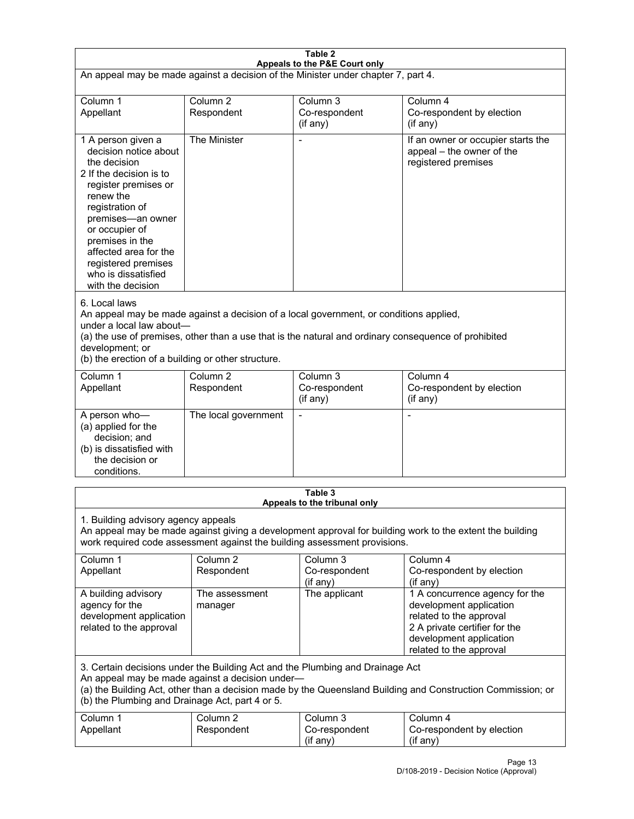| Table 2<br>Appeals to the P&E Court only                                                                                                                                                                                                                                                                             |                                   |                                                  |                                                                                                                                                                             |  |
|----------------------------------------------------------------------------------------------------------------------------------------------------------------------------------------------------------------------------------------------------------------------------------------------------------------------|-----------------------------------|--------------------------------------------------|-----------------------------------------------------------------------------------------------------------------------------------------------------------------------------|--|
| An appeal may be made against a decision of the Minister under chapter 7, part 4.                                                                                                                                                                                                                                    |                                   |                                                  |                                                                                                                                                                             |  |
|                                                                                                                                                                                                                                                                                                                      |                                   |                                                  |                                                                                                                                                                             |  |
| Column 1<br>Appellant                                                                                                                                                                                                                                                                                                | Column <sub>2</sub><br>Respondent | Column <sub>3</sub><br>Co-respondent<br>(if any) | Column 4<br>Co-respondent by election<br>$($ if any $)$                                                                                                                     |  |
| 1 A person given a<br>decision notice about<br>the decision<br>2 If the decision is to<br>register premises or<br>renew the<br>registration of<br>premises-an owner<br>or occupier of<br>premises in the<br>affected area for the<br>registered premises<br>who is dissatisfied<br>with the decision                 | The Minister                      |                                                  | If an owner or occupier starts the<br>appeal - the owner of the<br>registered premises                                                                                      |  |
| 6. Local laws<br>An appeal may be made against a decision of a local government, or conditions applied,<br>under a local law about-<br>(a) the use of premises, other than a use that is the natural and ordinary consequence of prohibited<br>development; or<br>(b) the erection of a building or other structure. |                                   |                                                  |                                                                                                                                                                             |  |
| Column 1<br>Appellant                                                                                                                                                                                                                                                                                                | Column <sub>2</sub><br>Respondent | Column 3<br>Co-respondent<br>(if any)            | Column 4<br>Co-respondent by election<br>(if any)                                                                                                                           |  |
| A person who-<br>(a) applied for the<br>decision; and<br>(b) is dissatisfied with<br>the decision or<br>conditions.                                                                                                                                                                                                  | The local government              | $\blacksquare$                                   | $\blacksquare$                                                                                                                                                              |  |
|                                                                                                                                                                                                                                                                                                                      |                                   | Table 3                                          |                                                                                                                                                                             |  |
| Appeals to the tribunal only<br>1. Building advisory agency appeals<br>An appeal may be made against giving a development approval for building work to the extent the building<br>work required code assessment against the building assessment provisions.                                                         |                                   |                                                  |                                                                                                                                                                             |  |
| Column 1<br>Appellant                                                                                                                                                                                                                                                                                                | Column <sub>2</sub><br>Respondent | Column <sub>3</sub><br>Co-respondent<br>(if any) | Column 4<br>Co-respondent by election<br>(if any)                                                                                                                           |  |
| A building advisory<br>agency for the<br>development application<br>related to the approval                                                                                                                                                                                                                          | The assessment<br>manager         | The applicant                                    | 1 A concurrence agency for the<br>development application<br>related to the approval<br>2 A private certifier for the<br>development application<br>related to the approval |  |
| 3. Certain decisions under the Building Act and the Plumbing and Drainage Act<br>An appeal may be made against a decision under-<br>(a) the Building Act, other than a decision made by the Queensland Building and Construction Commission; or<br>(b) the Plumbing and Drainage Act, part 4 or 5.                   |                                   |                                                  |                                                                                                                                                                             |  |
| Column 1<br>Appellant                                                                                                                                                                                                                                                                                                | Column <sub>2</sub><br>Respondent | Column 3<br>Co-respondent<br>(if any)            | Column 4<br>Co-respondent by election<br>(if any)                                                                                                                           |  |